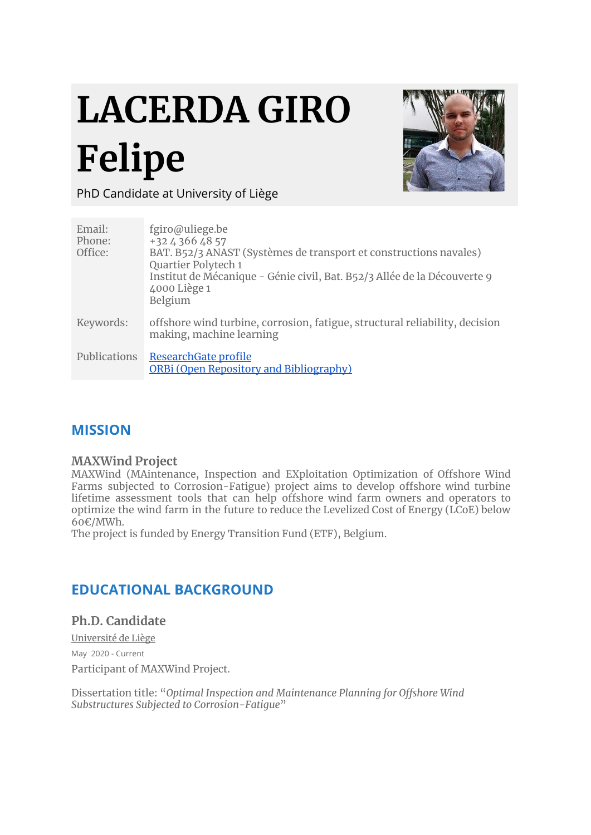# **LACERDA GIRO Felipe**



PhD Candidate at University of Liège

| Email:<br>Phone:<br>Office: | fgiro@uliege.be<br>+32 4 366 48 57<br>BAT. B52/3 ANAST (Systèmes de transport et constructions navales)<br>Quartier Polytech 1<br>Institut de Mécanique - Génie civil, Bat. B52/3 Allée de la Découverte 9<br>4000 Liège 1<br>Belgium |
|-----------------------------|---------------------------------------------------------------------------------------------------------------------------------------------------------------------------------------------------------------------------------------|
| Keywords:                   | offshore wind turbine, corrosion, fatigue, structural reliability, decision<br>making, machine learning                                                                                                                               |
| Publications                | ResearchGate profile<br><b>ORBi (Open Repository and Bibliography)</b>                                                                                                                                                                |

# **MISSION**

#### **MAXWind Project**

MAXWind (MAintenance, Inspection and EXploitation Optimization of Offshore Wind Farms subjected to Corrosion-Fatigue) project aims to develop offshore wind turbine lifetime assessment tools that can help offshore wind farm owners and operators to optimize the wind farm in the future to reduce the Levelized Cost of Energy (LCoE) below 60€/MWh.

The project is funded by Energy Transition Fund (ETF), Belgium.

# **EDUCATIONAL BACKGROUND**

**Ph.D. Candidate**

Université de Liège May 2020 - Current Participant of MAXWind Project.

Dissertation title: "*Optimal Inspection and Maintenance Planning for Offshore Wind Substructures Subjected to Corrosion-Fatigue*"